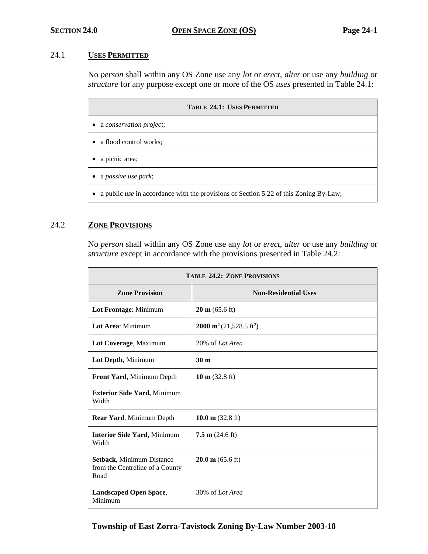## 24.1 **USES PERMITTED**

No *person* shall within any OS Zone use any *lot* or *erect*, *alter* or use any *building* or *structure* for any purpose except one or more of the OS *uses* presented in Table 24.1:

| <b>TABLE 24.1: USES PERMITTED</b>                                                     |
|---------------------------------------------------------------------------------------|
| a conservation project;                                                               |
| • a flood control works;                                                              |
| a picnic area;                                                                        |
| a passive use park;                                                                   |
| a public use in accordance with the provisions of Section 5.22 of this Zoning By-Law; |

## 24.2 **ZONE PROVISIONS**

No *person* shall within any OS Zone use any *lot* or *erect*, *alter* or use any *building* or *structure* except in accordance with the provisions presented in Table 24.2:

| <b>TABLE 24.2: ZONE PROVISIONS</b>                                   |                                                 |  |
|----------------------------------------------------------------------|-------------------------------------------------|--|
| <b>Zone Provision</b>                                                | <b>Non-Residential Uses</b>                     |  |
| Lot Frontage: Minimum                                                | $20 \text{ m} (65.6 \text{ ft})$                |  |
| Lot Area: Minimum                                                    | 2000 m <sup>2</sup> (21,528.5 ft <sup>2</sup> ) |  |
| Lot Coverage, Maximum                                                | 20% of Lot Area                                 |  |
| Lot Depth, Minimum                                                   | 30 <sub>m</sub>                                 |  |
| Front Yard, Minimum Depth                                            | 10 m $(32.8 \text{ ft})$                        |  |
| <b>Exterior Side Yard, Minimum</b><br>Width                          |                                                 |  |
| <b>Rear Yard, Minimum Depth</b>                                      | 10.0 m $(32.8 \text{ ft})$                      |  |
| <b>Interior Side Yard, Minimum</b><br>Width                          | $7.5 \text{ m}$ (24.6 ft)                       |  |
| Setback, Minimum Distance<br>from the Centreline of a County<br>Road | $20.0 \text{ m}$ (65.6 ft)                      |  |
| <b>Landscaped Open Space,</b><br>Minimum                             | 30% of Lot Area                                 |  |